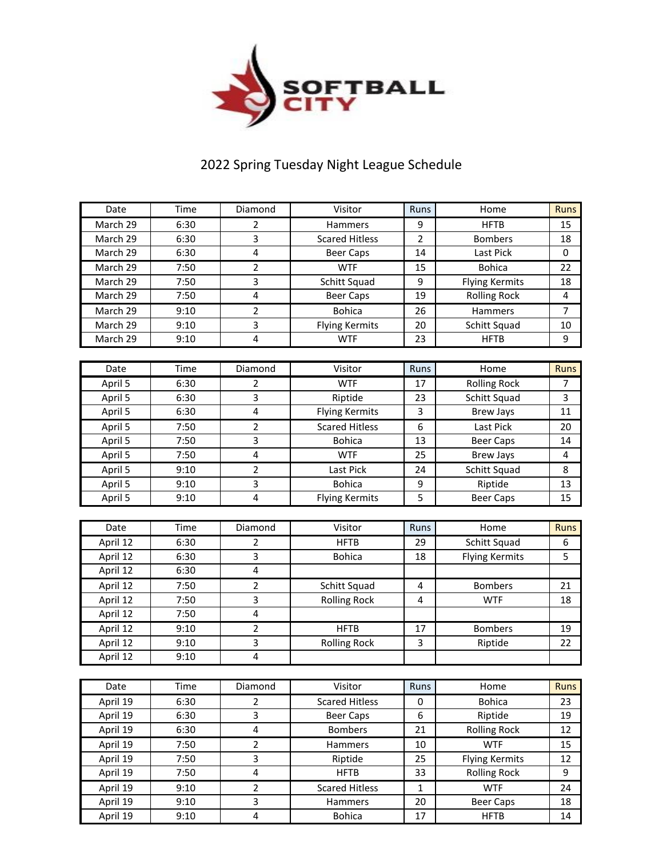

## 2022 Spring Tuesday Night League Schedule

| Date     | Time | Diamond                 | Visitor               | Runs           | Home                  | <b>Runs</b>             |
|----------|------|-------------------------|-----------------------|----------------|-----------------------|-------------------------|
| March 29 | 6:30 | $\overline{2}$          | Hammers               | 9              | <b>HFTB</b>           | 15                      |
| March 29 | 6:30 | 3                       | <b>Scared Hitless</b> | $\overline{2}$ | <b>Bombers</b>        | 18                      |
| March 29 | 6:30 | 4                       | <b>Beer Caps</b>      | 14             | Last Pick             | 0                       |
| March 29 | 7:50 | $\overline{2}$          | <b>WTF</b>            | 15             | <b>Bohica</b>         | 22                      |
| March 29 | 7:50 | 3                       | Schitt Squad          | 9              | <b>Flying Kermits</b> | 18                      |
| March 29 | 7:50 | $\overline{\mathbf{4}}$ | <b>Beer Caps</b>      | 19             | <b>Rolling Rock</b>   | $\overline{\mathbf{r}}$ |
| March 29 | 9:10 | $\overline{2}$          | <b>Bohica</b>         | 26             | Hammers               | 7                       |
| March 29 | 9:10 | 3                       | <b>Flying Kermits</b> | 20             | Schitt Squad          | 10                      |
| March 29 | 9:10 | $\overline{\mathbf{4}}$ | <b>WTF</b>            | 23             | <b>HFTB</b>           | 9                       |
|          |      |                         |                       |                |                       |                         |
| Date     | Time | Diamond                 | Visitor               | Runs           | Home                  | <b>Runs</b>             |
| April 5  | 6:30 | $\overline{2}$          | <b>WTF</b>            | 17             | <b>Rolling Rock</b>   | 7                       |
| April 5  | 6:30 | 3                       | Riptide               | 23             | Schitt Squad          | 3                       |
| April 5  | 6:30 | 4                       | <b>Flying Kermits</b> | 3              | <b>Brew Jays</b>      | 11                      |
| April 5  | 7:50 | $\overline{2}$          | <b>Scared Hitless</b> | 6              | Last Pick             | 20                      |
| April 5  | 7:50 | 3                       | <b>Bohica</b>         | 13             | <b>Beer Caps</b>      | 14                      |
| April 5  | 7:50 | $\overline{\mathbf{4}}$ | <b>WTF</b>            | 25             | <b>Brew Jays</b>      | $\overline{4}$          |
| April 5  | 9:10 | $\mathbf 2$             | Last Pick             | 24             | Schitt Squad          | 8                       |
| April 5  | 9:10 | 3                       | <b>Bohica</b>         | 9              | Riptide               | 13                      |
| April 5  | 9:10 | 4                       | <b>Flying Kermits</b> | 5              | <b>Beer Caps</b>      | 15                      |
|          |      |                         |                       |                |                       |                         |
| Date     | Time | Diamond                 | Visitor               | Runs           | Home                  | <b>Runs</b>             |
| April 12 | 6:30 | $\overline{2}$          | <b>HFTB</b>           | 29             | Schitt Squad          | 6                       |
| April 12 | 6:30 | 3                       | <b>Bohica</b>         | 18             | <b>Flying Kermits</b> | 5                       |
| April 12 | 6:30 | $\overline{\mathbf{4}}$ |                       |                |                       |                         |
| April 12 | 7:50 | $\mathbf 2$             | Schitt Squad          | 4              | <b>Bombers</b>        | 21                      |
| April 12 | 7:50 | 3                       | <b>Rolling Rock</b>   | 4              | <b>WTF</b>            | 18                      |
| April 12 | 7:50 | 4                       |                       |                |                       |                         |
| April 12 | 9:10 | $\overline{2}$          | <b>HFTB</b>           | 17             | <b>Bombers</b>        | 19                      |
| April 12 | 9:10 | 3                       | <b>Rolling Rock</b>   | 3              | Riptide               | 22                      |
| April 12 | 9:10 | $\overline{\mathbf{4}}$ |                       |                |                       |                         |
|          |      |                         |                       |                |                       |                         |
| Date     | Time | Diamond                 | Visitor               | Runs           | Home                  | Runs                    |
| April 19 | 6:30 | $\overline{2}$          | <b>Scared Hitless</b> | 0              | <b>Bohica</b>         | 23                      |
| April 19 | 6:30 | 3                       | <b>Beer Caps</b>      | 6              | Riptide               | 19                      |
| April 19 | 6:30 | 4                       | <b>Bombers</b>        | 21             | <b>Rolling Rock</b>   | 12                      |
| April 19 | 7:50 | $\overline{2}$          | Hammers               | 10             | <b>WTF</b>            | 15                      |
| April 19 | 7:50 | 3                       | Riptide               | 25             | <b>Flying Kermits</b> | 12                      |
| April 19 | 7:50 | $\overline{\mathbf{4}}$ | <b>HFTB</b>           | 33             | <b>Rolling Rock</b>   | 9                       |
| April 19 | 9:10 | $\overline{2}$          | <b>Scared Hitless</b> | 1              | <b>WTF</b>            | 24                      |
| April 19 |      |                         |                       |                |                       |                         |
|          | 9:10 | 3                       | Hammers               | 20             | <b>Beer Caps</b>      | 18                      |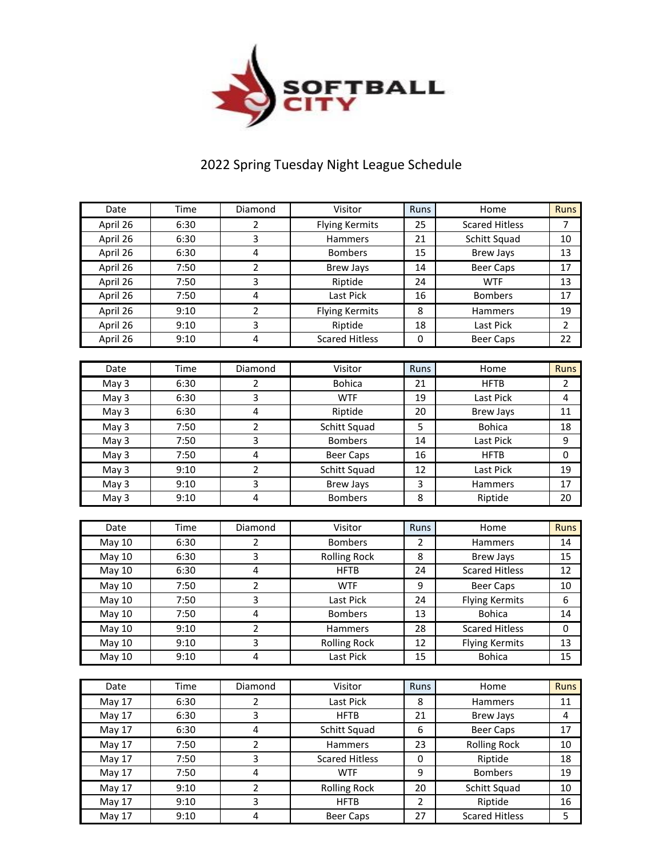

## 2022 Spring Tuesday Night League Schedule

| Date          | Time | Diamond                 | Visitor               | Runs           | Home                  | <b>Runs</b>    |
|---------------|------|-------------------------|-----------------------|----------------|-----------------------|----------------|
| April 26      | 6:30 | $\overline{2}$          | <b>Flying Kermits</b> | 25             | <b>Scared Hitless</b> | $\overline{7}$ |
| April 26      | 6:30 | 3                       | Hammers               | 21             | Schitt Squad          | 10             |
| April 26      | 6:30 | 4                       | <b>Bombers</b>        | 15             | <b>Brew Jays</b>      | 13             |
| April 26      | 7:50 | $\mathbf 2$             | <b>Brew Jays</b>      | 14             | <b>Beer Caps</b>      | 17             |
| April 26      | 7:50 | 3                       | Riptide               | 24             | <b>WTF</b>            | 13             |
| April 26      | 7:50 | $\overline{\mathbf{4}}$ | Last Pick             | 16             | <b>Bombers</b>        | 17             |
| April 26      | 9:10 | $\overline{2}$          | <b>Flying Kermits</b> | 8              | Hammers               | 19             |
| April 26      | 9:10 | 3                       | Riptide               | 18             | Last Pick             | $\overline{2}$ |
| April 26      | 9:10 | 4                       | <b>Scared Hitless</b> | 0              | <b>Beer Caps</b>      | 22             |
|               |      |                         |                       |                |                       |                |
| Date          | Time | Diamond                 | Visitor               | Runs           | Home                  | <b>Runs</b>    |
| May 3         | 6:30 | $\overline{2}$          | <b>Bohica</b>         | 21             | <b>HFTB</b>           | 2              |
| May 3         | 6:30 | 3                       | <b>WTF</b>            | 19             | Last Pick             | 4              |
| May 3         | 6:30 | 4                       | Riptide               | 20             | <b>Brew Jays</b>      | 11             |
| May 3         | 7:50 | $\overline{2}$          | Schitt Squad          | 5              | <b>Bohica</b>         | 18             |
| May 3         | 7:50 | 3                       | <b>Bombers</b>        | 14             | Last Pick             | 9              |
| May 3         | 7:50 | $\overline{4}$          | <b>Beer Caps</b>      | 16             | <b>HFTB</b>           | $\mathbf 0$    |
| May 3         | 9:10 | $\overline{2}$          | Schitt Squad          | 12             | Last Pick             | 19             |
| May 3         | 9:10 | 3                       | <b>Brew Jays</b>      | 3              | Hammers               | 17             |
| May 3         | 9:10 | 4                       | <b>Bombers</b>        | 8              | Riptide               | 20             |
|               |      |                         |                       |                |                       |                |
| Date          | Time | Diamond                 | Visitor               | Runs           | Home                  | <b>Runs</b>    |
| May 10        | 6:30 | $\overline{2}$          | <b>Bombers</b>        | $\overline{2}$ | Hammers               | 14             |
| May 10        | 6:30 | 3                       | <b>Rolling Rock</b>   | 8              | <b>Brew Jays</b>      | 15             |
| May 10        | 6:30 | 4                       | <b>HFTB</b>           | 24             | <b>Scared Hitless</b> | 12             |
| May 10        | 7:50 | $\mathbf 2$             | <b>WTF</b>            | 9              | <b>Beer Caps</b>      | 10             |
| <b>May 10</b> | 7:50 | 3                       | Last Pick             | 24             | <b>Flying Kermits</b> | 6              |
| <b>May 10</b> | 7:50 | $\overline{\mathbf{4}}$ | <b>Bombers</b>        | 13             | <b>Bohica</b>         | 14             |
| May $10$      | 9:10 | $\overline{2}$          | Hammers               | 28             | <b>Scared Hitless</b> | 0              |
| <b>May 10</b> | 9:10 | 3                       | <b>Rolling Rock</b>   | 12             | <b>Flying Kermits</b> | 13             |
| <b>May 10</b> | 9:10 | $\overline{\mathbf{4}}$ | Last Pick             | 15             | <b>Bohica</b>         | 15             |
|               |      |                         |                       |                |                       |                |
| Date          | Time | Diamond                 | Visitor               | Runs           | Home                  | Runs           |
| May 17        | 6:30 | 2                       | Last Pick             | 8              | Hammers               | 11             |
| May 17        | 6:30 | 3                       | <b>HFTB</b>           | 21             | <b>Brew Jays</b>      | 4              |
| May 17        | 6:30 | 4                       | Schitt Squad          | 6              | <b>Beer Caps</b>      | 17             |
| May 17        | 7:50 | $\overline{2}$          | Hammers               | 23             | <b>Rolling Rock</b>   | 10             |
| May 17        | 7:50 | 3                       | <b>Scared Hitless</b> | 0              | Riptide               | 18             |
| May 17        | 7:50 | $\overline{\mathbf{4}}$ | <b>WTF</b>            | 9              | <b>Bombers</b>        | 19             |
| May 17        | 9:10 | $\overline{2}$          | <b>Rolling Rock</b>   | 20             | Schitt Squad          | 10             |
| May 17        | 9:10 | 3                       | <b>HFTB</b>           | $\overline{2}$ | Riptide               | 16             |
| May 17        | 9:10 | 4                       | <b>Beer Caps</b>      | 27             | <b>Scared Hitless</b> | 5              |